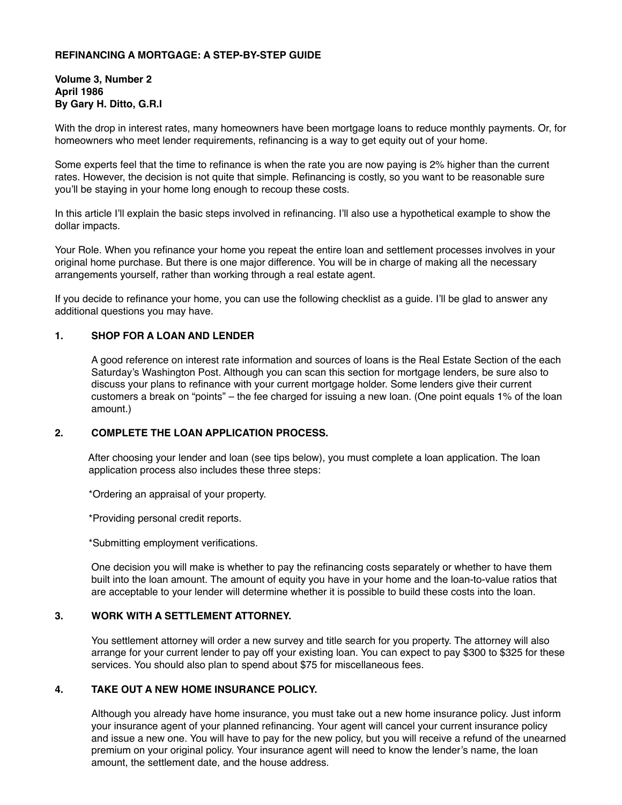## **REFINANCING A MORTGAGE: A STEP-BY-STEP GUIDE**

**Volume 3, Number 2 April 1986 By Gary H. Ditto, G.R.I**

With the drop in interest rates, many homeowners have been mortgage loans to reduce monthly payments. Or, for homeowners who meet lender requirements, refinancing is a way to get equity out of your home.

Some experts feel that the time to refinance is when the rate you are now paying is 2% higher than the current rates. However, the decision is not quite that simple. Refinancing is costly, so you want to be reasonable sure you'll be staying in your home long enough to recoup these costs.

In this article I'll explain the basic steps involved in refinancing. I'll also use a hypothetical example to show the dollar impacts.

Your Role. When you refinance your home you repeat the entire loan and settlement processes involves in your original home purchase. But there is one major difference. You will be in charge of making all the necessary arrangements yourself, rather than working through a real estate agent.

If you decide to refinance your home, you can use the following checklist as a guide. I'll be glad to answer any additional questions you may have.

### **1. SHOP FOR A LOAN AND LENDER**

A good reference on interest rate information and sources of loans is the Real Estate Section of the each Saturday's Washington Post. Although you can scan this section for mortgage lenders, be sure also to discuss your plans to refinance with your current mortgage holder. Some lenders give their current customers a break on "points" – the fee charged for issuing a new loan. (One point equals 1% of the loan amount.)

## **2. COMPLETE THE LOAN APPLICATION PROCESS.**

After choosing your lender and loan (see tips below), you must complete a loan application. The loan application process also includes these three steps:

\*Ordering an appraisal of your property.

\*Providing personal credit reports.

\*Submitting employment verifications.

One decision you will make is whether to pay the refinancing costs separately or whether to have them built into the loan amount. The amount of equity you have in your home and the loan-to-value ratios that are acceptable to your lender will determine whether it is possible to build these costs into the loan.

## **3. WORK WITH A SETTLEMENT ATTORNEY.**

You settlement attorney will order a new survey and title search for you property. The attorney will also arrange for your current lender to pay off your existing loan. You can expect to pay \$300 to \$325 for these services. You should also plan to spend about \$75 for miscellaneous fees.

#### **4. TAKE OUT A NEW HOME INSURANCE POLICY.**

Although you already have home insurance, you must take out a new home insurance policy. Just inform your insurance agent of your planned refinancing. Your agent will cancel your current insurance policy and issue a new one. You will have to pay for the new policy, but you will receive a refund of the unearned premium on your original policy. Your insurance agent will need to know the lender's name, the loan amount, the settlement date, and the house address.